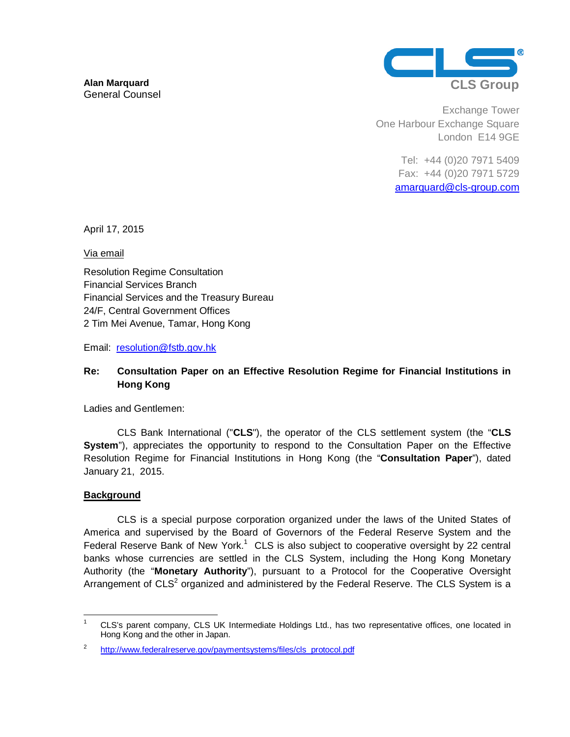

Exchange Tower One Harbour Exchange Square London E14 9GE

> Tel: +44 (0)20 7971 5409 Fax: +44 (0)20 7971 5729 amarquard@cls-group.com

April 17, 2015

Via email

Resolution Regime Consultation Financial Services Branch Financial Services and the Treasury Bureau 24/F, Central Government Offices 2 Tim Mei Avenue, Tamar, Hong Kong

Email: resolution@fstb.gov.hk

# **Re: Consultation Paper on an Effective Resolution Regime for Financial Institutions in Hong Kong**

Ladies and Gentlemen:

CLS Bank International ("**CLS**"), the operator of the CLS settlement system (the "**CLS**  System"), appreciates the opportunity to respond to the Consultation Paper on the Effective Resolution Regime for Financial Institutions in Hong Kong (the "**Consultation Paper**"), dated January 21, 2015.

## **Background**

CLS is a special purpose corporation organized under the laws of the United States of America and supervised by the Board of Governors of the Federal Reserve System and the Federal Reserve Bank of New York.<sup>1</sup> CLS is also subject to cooperative oversight by 22 central banks whose currencies are settled in the CLS System, including the Hong Kong Monetary Authority (the "**Monetary Authority**"), pursuant to a Protocol for the Cooperative Oversight Arrangement of  $CLS<sup>2</sup>$  organized and administered by the Federal Reserve. The CLS System is a

 $\frac{1}{1}$ <sup>1</sup> CLS's parent company, CLS UK Intermediate Holdings Ltd., has two representative offices, one located in Hong Kong and the other in Japan.

<sup>2</sup> http://www.federalreserve.gov/paymentsystems/files/cls\_protocol.pdf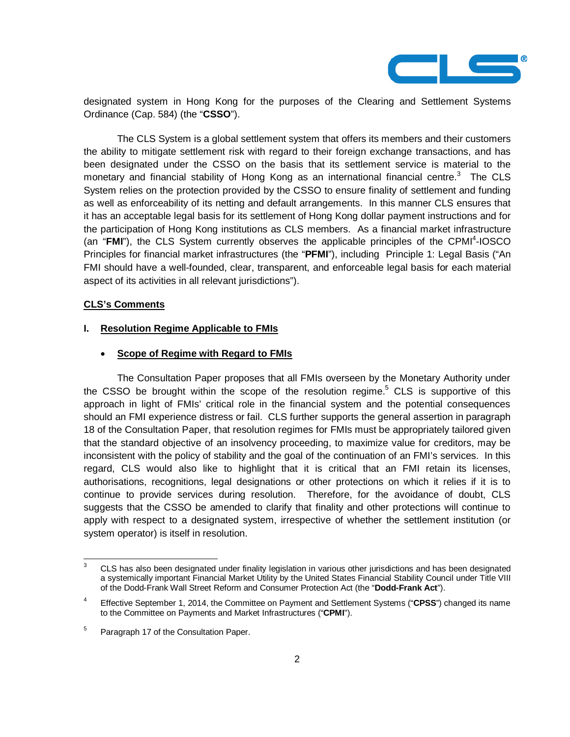

designated system in Hong Kong for the purposes of the Clearing and Settlement Systems Ordinance (Cap. 584) (the "**CSSO**").

The CLS System is a global settlement system that offers its members and their customers the ability to mitigate settlement risk with regard to their foreign exchange transactions, and has been designated under the CSSO on the basis that its settlement service is material to the monetary and financial stability of Hong Kong as an international financial centre. $3$  The CLS System relies on the protection provided by the CSSO to ensure finality of settlement and funding as well as enforceability of its netting and default arrangements. In this manner CLS ensures that it has an acceptable legal basis for its settlement of Hong Kong dollar payment instructions and for the participation of Hong Kong institutions as CLS members. As a financial market infrastructure (an "FMI"), the CLS System currently observes the applicable principles of the CPMI<sup>4</sup>-IOSCO Principles for financial market infrastructures (the "**PFMI**"), including Principle 1: Legal Basis ("An FMI should have a well-founded, clear, transparent, and enforceable legal basis for each material aspect of its activities in all relevant jurisdictions").

#### **CLS's Comments**

#### **I. Resolution Regime Applicable to FMIs**

#### � **Scope of Regime with Regard to FMIs**

The Consultation Paper proposes that all FMIs overseen by the Monetary Authority under the CSSO be brought within the scope of the resolution regime.<sup>5</sup> CLS is supportive of this approach in light of FMIs' critical role in the financial system and the potential consequences should an FMI experience distress or fail. CLS further supports the general assertion in paragraph 18 of the Consultation Paper, that resolution regimes for FMIs must be appropriately tailored given that the standard objective of an insolvency proceeding, to maximize value for creditors, may be inconsistent with the policy of stability and the goal of the continuation of an FMI's services. In this regard, CLS would also like to highlight that it is critical that an FMI retain its licenses, authorisations, recognitions, legal designations or other protections on which it relies if it is to continue to provide services during resolution. Therefore, for the avoidance of doubt, CLS suggests that the CSSO be amended to clarify that finality and other protections will continue to apply with respect to a designated system, irrespective of whether the settlement institution (or system operator) is itself in resolution.

<sup>-&</sup>lt;br>3  $3$  CLS has also been designated under finality legislation in various other jurisdictions and has been designated a systemically important Financial Market Utility by the United States Financial Stability Council under Title VIII of the Dodd-Frank Wall Street Reform and Consumer Protection Act (the "**Dodd-Frank Act**").

<sup>4</sup> Effective September 1, 2014, the Committee on Payment and Settlement Systems ("**CPSS**") changed its name to the Committee on Payments and Market Infrastructures ("**CPMI**").

<sup>5</sup> Paragraph 17 of the Consultation Paper.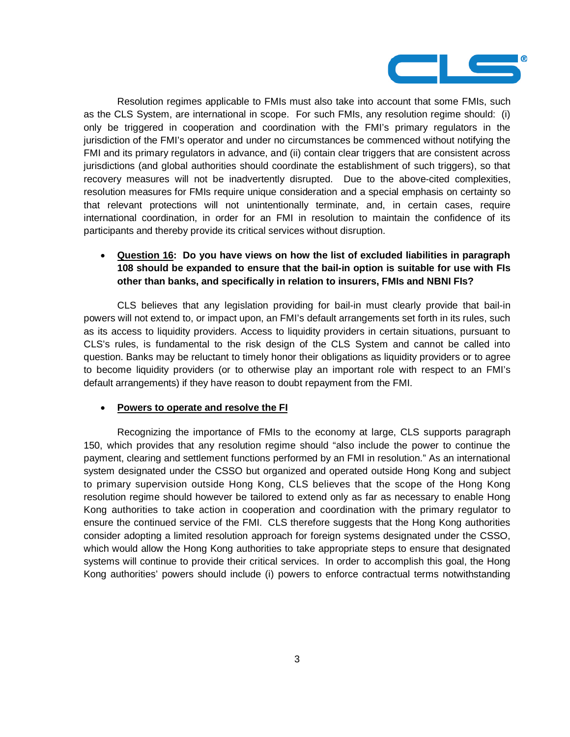

Resolution regimes applicable to FMIs must also take into account that some FMIs, such as the CLS System, are international in scope. For such FMIs, any resolution regime should: (i) only be triggered in cooperation and coordination with the FMI's primary regulators in the jurisdiction of the FMI's operator and under no circumstances be commenced without notifying the FMI and its primary regulators in advance, and (ii) contain clear triggers that are consistent across jurisdictions (and global authorities should coordinate the establishment of such triggers), so that recovery measures will not be inadvertently disrupted. Due to the above-cited complexities, resolution measures for FMIs require unique consideration and a special emphasis on certainty so that relevant protections will not unintentionally terminate, and, in certain cases, require international coordination, in order for an FMI in resolution to maintain the confidence of its participants and thereby provide its critical services without disruption.

## � **Question 16: Do you have views on how the list of excluded liabilities in paragraph 108 should be expanded to ensure that the bail-in option is suitable for use with FIs other than banks, and specifically in relation to insurers, FMIs and NBNI FIs?**

CLS believes that any legislation providing for bail-in must clearly provide that bail-in powers will not extend to, or impact upon, an FMI's default arrangements set forth in its rules, such as its access to liquidity providers. Access to liquidity providers in certain situations, pursuant to CLS's rules, is fundamental to the risk design of the CLS System and cannot be called into question. Banks may be reluctant to timely honor their obligations as liquidity providers or to agree to become liquidity providers (or to otherwise play an important role with respect to an FMI's default arrangements) if they have reason to doubt repayment from the FMI.

## � **Powers to operate and resolve the FI**

Recognizing the importance of FMIs to the economy at large, CLS supports paragraph 150, which provides that any resolution regime should "also include the power to continue the payment, clearing and settlement functions performed by an FMI in resolution." As an international system designated under the CSSO but organized and operated outside Hong Kong and subject to primary supervision outside Hong Kong, CLS believes that the scope of the Hong Kong resolution regime should however be tailored to extend only as far as necessary to enable Hong Kong authorities to take action in cooperation and coordination with the primary regulator to ensure the continued service of the FMI. CLS therefore suggests that the Hong Kong authorities consider adopting a limited resolution approach for foreign systems designated under the CSSO, which would allow the Hong Kong authorities to take appropriate steps to ensure that designated systems will continue to provide their critical services. In order to accomplish this goal, the Hong Kong authorities' powers should include (i) powers to enforce contractual terms notwithstanding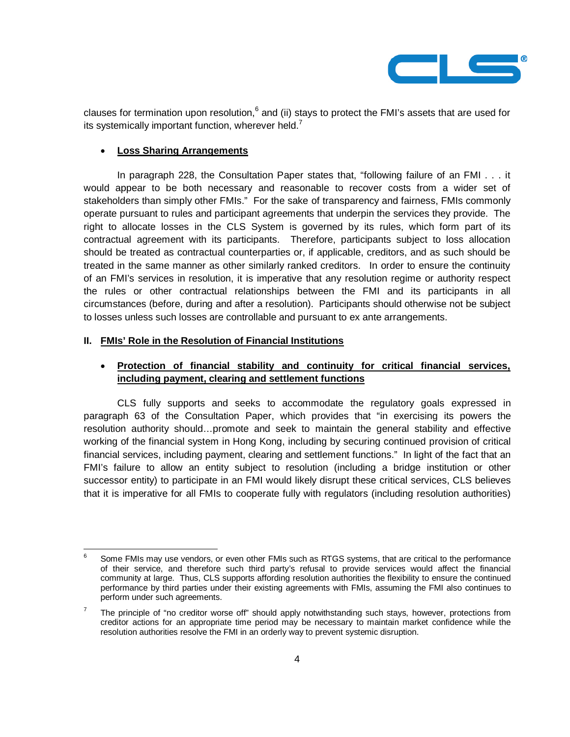

clauses for termination upon resolution,  $6$  and (ii) stays to protect the FMI's assets that are used for its systemically important function, wherever held.<sup>7</sup>

## � **Loss Sharing Arrangements**

In paragraph 228, the Consultation Paper states that, "following failure of an FMI . . . it would appear to be both necessary and reasonable to recover costs from a wider set of stakeholders than simply other FMIs." For the sake of transparency and fairness, FMIs commonly operate pursuant to rules and participant agreements that underpin the services they provide. The right to allocate losses in the CLS System is governed by its rules, which form part of its contractual agreement with its participants. Therefore, participants subject to loss allocation should be treated as contractual counterparties or, if applicable, creditors, and as such should be treated in the same manner as other similarly ranked creditors. In order to ensure the continuity of an FMI's services in resolution, it is imperative that any resolution regime or authority respect the rules or other contractual relationships between the FMI and its participants in all circumstances (before, during and after a resolution). Participants should otherwise not be subject to losses unless such losses are controllable and pursuant to ex ante arrangements.

#### **II. FMIs' Role in the Resolution of Financial Institutions**

## � **Protection of financial stability and continuity for critical financial services, including payment, clearing and settlement functions**

CLS fully supports and seeks to accommodate the regulatory goals expressed in paragraph 63 of the Consultation Paper, which provides that "in exercising its powers the resolution authority should…promote and seek to maintain the general stability and effective working of the financial system in Hong Kong, including by securing continued provision of critical financial services, including payment, clearing and settlement functions." In light of the fact that an FMI's failure to allow an entity subject to resolution (including a bridge institution or other successor entity) to participate in an FMI would likely disrupt these critical services, CLS believes that it is imperative for all FMIs to cooperate fully with regulators (including resolution authorities)

<sup>-&</sup>lt;br>6  $6$  Some FMIs may use vendors, or even other FMIs such as RTGS systems, that are critical to the performance of their service, and therefore such third party's refusal to provide services would affect the financial community at large. Thus, CLS supports affording resolution authorities the flexibility to ensure the continued performance by third parties under their existing agreements with FMIs, assuming the FMI also continues to perform under such agreements.

<sup>7</sup> The principle of "no creditor worse off" should apply notwithstanding such stays, however, protections from creditor actions for an appropriate time period may be necessary to maintain market confidence while the resolution authorities resolve the FMI in an orderly way to prevent systemic disruption.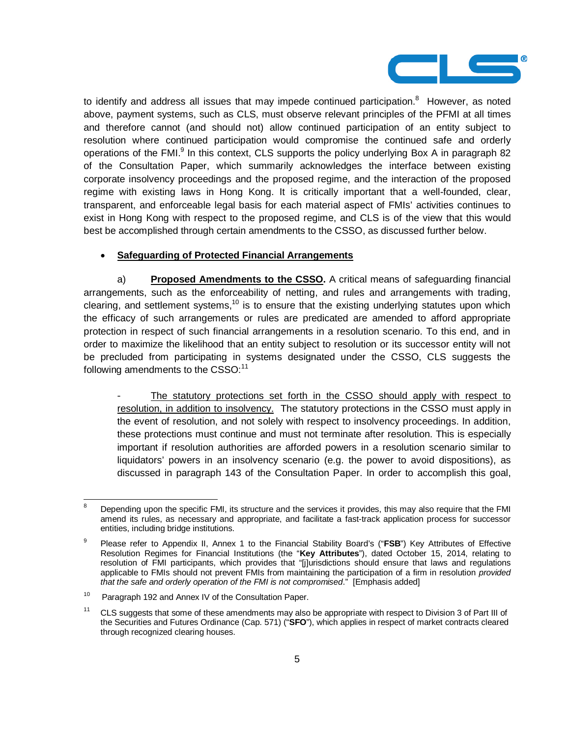

to identify and address all issues that may impede continued participation.<sup>8</sup> However, as noted above, payment systems, such as CLS, must observe relevant principles of the PFMI at all times and therefore cannot (and should not) allow continued participation of an entity subject to resolution where continued participation would compromise the continued safe and orderly operations of the FMI. $^{9}$  In this context, CLS supports the policy underlying Box A in paragraph 82 of the Consultation Paper, which summarily acknowledges the interface between existing corporate insolvency proceedings and the proposed regime, and the interaction of the proposed regime with existing laws in Hong Kong. It is critically important that a well-founded, clear, transparent, and enforceable legal basis for each material aspect of FMIs' activities continues to exist in Hong Kong with respect to the proposed regime, and CLS is of the view that this would best be accomplished through certain amendments to the CSSO, as discussed further below.

## � **Safeguarding of Protected Financial Arrangements**

a) **Proposed Amendments to the CSSO.** A critical means of safeguarding financial arrangements, such as the enforceability of netting, and rules and arrangements with trading, clearing, and settlement systems,<sup>10</sup> is to ensure that the existing underlying statutes upon which the efficacy of such arrangements or rules are predicated are amended to afford appropriate protection in respect of such financial arrangements in a resolution scenario. To this end, and in order to maximize the likelihood that an entity subject to resolution or its successor entity will not be precluded from participating in systems designated under the CSSO, CLS suggests the following amendments to the  $CSSO:^{11}$ 

The statutory protections set forth in the CSSO should apply with respect to resolution, in addition to insolvency. The statutory protections in the CSSO must apply in the event of resolution, and not solely with respect to insolvency proceedings. In addition, these protections must continue and must not terminate after resolution. This is especially important if resolution authorities are afforded powers in a resolution scenario similar to liquidators' powers in an insolvency scenario (e.g. the power to avoid dispositions), as discussed in paragraph 143 of the Consultation Paper. In order to accomplish this goal,

<sup>-&</sup>lt;br>8 Depending upon the specific FMI, its structure and the services it provides, this may also require that the FMI amend its rules, as necessary and appropriate, and facilitate a fast-track application process for successor entities, including bridge institutions.

<sup>9</sup> Please refer to Appendix II, Annex 1 to the Financial Stability Board's ("**FSB**") Key Attributes of Effective Resolution Regimes for Financial Institutions (the "**Key Attributes**"), dated October 15, 2014, relating to resolution of FMI participants, which provides that "[j]urisdictions should ensure that laws and regulations applicable to FMIs should not prevent FMIs from maintaining the participation of a firm in resolution provided that the safe and orderly operation of the FMI is not compromised." [Emphasis added]

<sup>&</sup>lt;sup>10</sup> Paragraph 192 and Annex IV of the Consultation Paper.

<sup>&</sup>lt;sup>11</sup> CLS suggests that some of these amendments may also be appropriate with respect to Division 3 of Part III of the Securities and Futures Ordinance (Cap. 571) ("**SFO**"), which applies in respect of market contracts cleared through recognized clearing houses.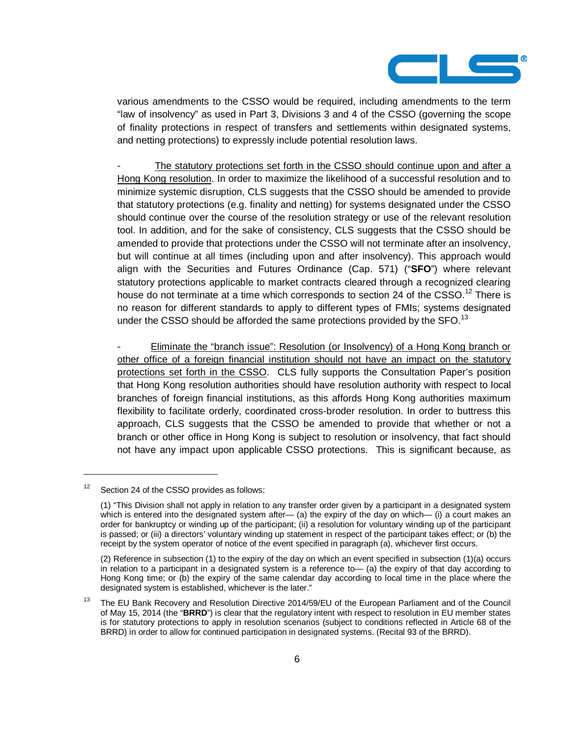

various amendments to the CSSO would be required, including amendments to the term "law of insolvency" as used in Part 3, Divisions 3 and 4 of the CSSO (governing the scope of finality protections in respect of transfers and settlements within designated systems, and netting protections) to expressly include potential resolution laws.

The statutory protections set forth in the CSSO should continue upon and after a Hong Kong resolution. In order to maximize the likelihood of a successful resolution and to minimize systemic disruption, CLS suggests that the CSSO should be amended to provide that statutory protections (e.g. finality and netting) for systems designated under the CSSO should continue over the course of the resolution strategy or use of the relevant resolution tool. In addition, and for the sake of consistency, CLS suggests that the CSSO should be amended to provide that protections under the CSSO will not terminate after an insolvency, but will continue at all times (including upon and after insolvency). This approach would align with the Securities and Futures Ordinance (Cap. 571) ("**SFO**") where relevant statutory protections applicable to market contracts cleared through a recognized clearing house do not terminate at a time which corresponds to section 24 of the CSSO.<sup>12</sup> There is no reason for different standards to apply to different types of FMIs; systems designated under the CSSO should be afforded the same protections provided by the SFO.<sup>13</sup>

- Eliminate the "branch issue": Resolution (or Insolvency) of a Hong Kong branch or other office of a foreign financial institution should not have an impact on the statutory protections set forth in the CSSO. CLS fully supports the Consultation Paper's position that Hong Kong resolution authorities should have resolution authority with respect to local branches of foreign financial institutions, as this affords Hong Kong authorities maximum flexibility to facilitate orderly, coordinated cross-broder resolution. In order to buttress this approach, CLS suggests that the CSSO be amended to provide that whether or not a branch or other office in Hong Kong is subject to resolution or insolvency, that fact should not have any impact upon applicable CSSO protections. This is significant because, as

 $\overline{a}$ 

 $12$  Section 24 of the CSSO provides as follows:

<sup>(1) &</sup>quot;This Division shall not apply in relation to any transfer order given by a participant in a designated system which is entered into the designated system after— (a) the expiry of the day on which— (i) a court makes an order for bankruptcy or winding up of the participant; (ii) a resolution for voluntary winding up of the participant is passed; or (iii) a directors' voluntary winding up statement in respect of the participant takes effect; or (b) the receipt by the system operator of notice of the event specified in paragraph (a), whichever first occurs.

<sup>(2)</sup> Reference in subsection (1) to the expiry of the day on which an event specified in subsection (1)(a) occurs in relation to a participant in a designated system is a reference to— (a) the expiry of that day according to Hong Kong time; or (b) the expiry of the same calendar day according to local time in the place where the designated system is established, whichever is the later."

<sup>&</sup>lt;sup>13</sup> The EU Bank Recovery and Resolution Directive 2014/59/EU of the European Parliament and of the Council of May 15, 2014 (the "**BRRD**") is clear that the regulatory intent with respect to resolution in EU member states is for statutory protections to apply in resolution scenarios (subject to conditions reflected in Article 68 of the BRRD) in order to allow for continued participation in designated systems. (Recital 93 of the BRRD).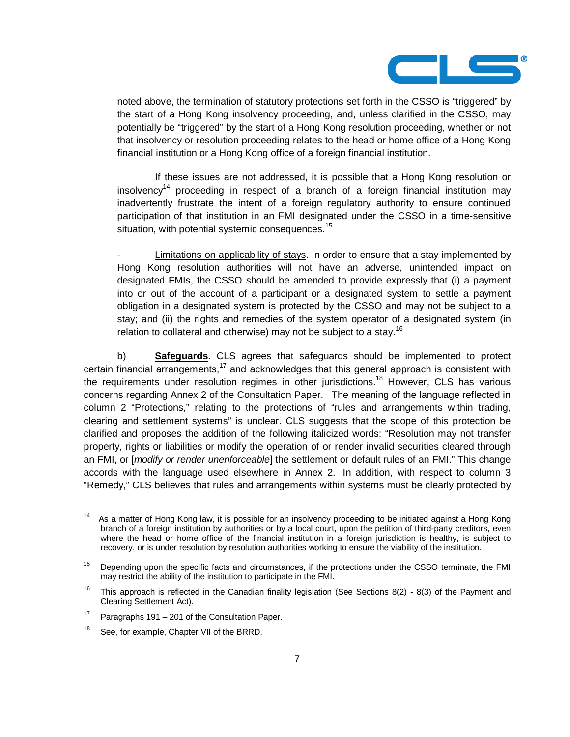

noted above, the termination of statutory protections set forth in the CSSO is "triggered" by the start of a Hong Kong insolvency proceeding, and, unless clarified in the CSSO, may potentially be "triggered" by the start of a Hong Kong resolution proceeding, whether or not that insolvency or resolution proceeding relates to the head or home office of a Hong Kong financial institution or a Hong Kong office of a foreign financial institution.

 If these issues are not addressed, it is possible that a Hong Kong resolution or insolvency<sup>14</sup> proceeding in respect of a branch of a foreign financial institution may inadvertently frustrate the intent of a foreign regulatory authority to ensure continued participation of that institution in an FMI designated under the CSSO in a time-sensitive situation, with potential systemic consequences.<sup>15</sup>

Limitations on applicability of stays. In order to ensure that a stay implemented by Hong Kong resolution authorities will not have an adverse, unintended impact on designated FMIs, the CSSO should be amended to provide expressly that (i) a payment into or out of the account of a participant or a designated system to settle a payment obligation in a designated system is protected by the CSSO and may not be subject to a stay; and (ii) the rights and remedies of the system operator of a designated system (in relation to collateral and otherwise) may not be subject to a stay.<sup>16</sup>

b) **Safeguards.** CLS agrees that safeguards should be implemented to protect certain financial arrangements, $17$  and acknowledges that this general approach is consistent with the requirements under resolution regimes in other jurisdictions.<sup>18</sup> However, CLS has various concerns regarding Annex 2 of the Consultation Paper. The meaning of the language reflected in column 2 "Protections," relating to the protections of "rules and arrangements within trading, clearing and settlement systems" is unclear. CLS suggests that the scope of this protection be clarified and proposes the addition of the following italicized words: "Resolution may not transfer property, rights or liabilities or modify the operation of or render invalid securities cleared through an FMI, or *[modify or render unenforceable]* the settlement or default rules of an FMI." This change accords with the language used elsewhere in Annex 2. In addition, with respect to column 3 "Remedy," CLS believes that rules and arrangements within systems must be clearly protected by

<sup>&</sup>lt;sup>14</sup> As a matter of Hong Kong law, it is possible for an insolvency proceeding to be initiated against a Hong Kong branch of a foreign institution by authorities or by a local court, upon the petition of third-party creditors, even where the head or home office of the financial institution in a foreign jurisdiction is healthy, is subject to recovery, or is under resolution by resolution authorities working to ensure the viability of the institution.

<sup>&</sup>lt;sup>15</sup> Depending upon the specific facts and circumstances, if the protections under the CSSO terminate, the FMI may restrict the ability of the institution to participate in the FMI.

<sup>&</sup>lt;sup>16</sup> This approach is reflected in the Canadian finality legislation (See Sections 8(2) - 8(3) of the Payment and Clearing Settlement Act).

<sup>&</sup>lt;sup>17</sup> Paragraphs 191 – 201 of the Consultation Paper.

<sup>&</sup>lt;sup>18</sup> See, for example, Chapter VII of the BRRD.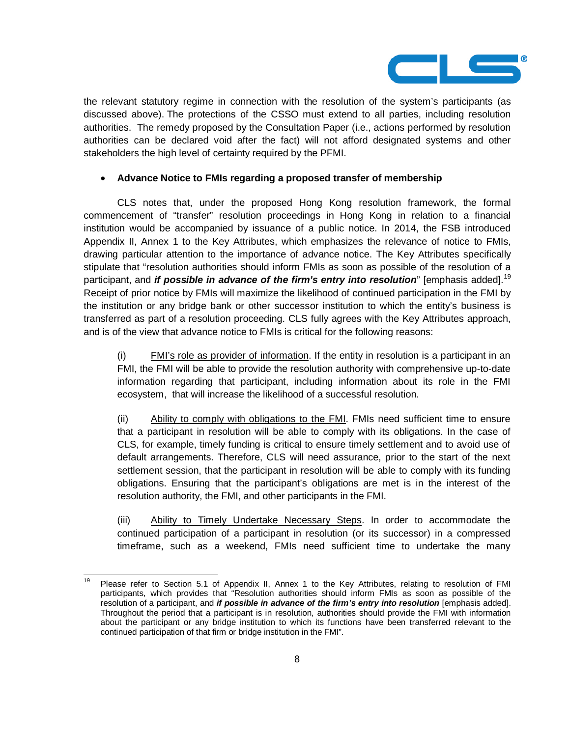

the relevant statutory regime in connection with the resolution of the system's participants (as discussed above). The protections of the CSSO must extend to all parties, including resolution authorities. The remedy proposed by the Consultation Paper (i.e., actions performed by resolution authorities can be declared void after the fact) will not afford designated systems and other stakeholders the high level of certainty required by the PFMI.

## � **Advance Notice to FMIs regarding a proposed transfer of membership**

 CLS notes that, under the proposed Hong Kong resolution framework, the formal commencement of "transfer" resolution proceedings in Hong Kong in relation to a financial institution would be accompanied by issuance of a public notice. In 2014, the FSB introduced Appendix II, Annex 1 to the Key Attributes, which emphasizes the relevance of notice to FMIs, drawing particular attention to the importance of advance notice. The Key Attributes specifically stipulate that "resolution authorities should inform FMIs as soon as possible of the resolution of a participant, and **if possible in advance of the firm's entry into resolution**" [emphasis added].19 Receipt of prior notice by FMIs will maximize the likelihood of continued participation in the FMI by the institution or any bridge bank or other successor institution to which the entity's business is transferred as part of a resolution proceeding. CLS fully agrees with the Key Attributes approach, and is of the view that advance notice to FMIs is critical for the following reasons:

(i) FMI's role as provider of information. If the entity in resolution is a participant in an FMI, the FMI will be able to provide the resolution authority with comprehensive up-to-date information regarding that participant, including information about its role in the FMI ecosystem, that will increase the likelihood of a successful resolution.

(ii) Ability to comply with obligations to the FMI. FMIs need sufficient time to ensure that a participant in resolution will be able to comply with its obligations. In the case of CLS, for example, timely funding is critical to ensure timely settlement and to avoid use of default arrangements. Therefore, CLS will need assurance, prior to the start of the next settlement session, that the participant in resolution will be able to comply with its funding obligations. Ensuring that the participant's obligations are met is in the interest of the resolution authority, the FMI, and other participants in the FMI.

(iii) Ability to Timely Undertake Necessary Steps. In order to accommodate the continued participation of a participant in resolution (or its successor) in a compressed timeframe, such as a weekend, FMIs need sufficient time to undertake the many

<sup>&</sup>lt;sup>19</sup> Please refer to Section 5.1 of Appendix II, Annex 1 to the Key Attributes, relating to resolution of FMI participants, which provides that "Resolution authorities should inform FMIs as soon as possible of the resolution of a participant, and **if possible in advance of the firm's entry into resolution** [emphasis added]. Throughout the period that a participant is in resolution, authorities should provide the FMI with information about the participant or any bridge institution to which its functions have been transferred relevant to the continued participation of that firm or bridge institution in the FMI".